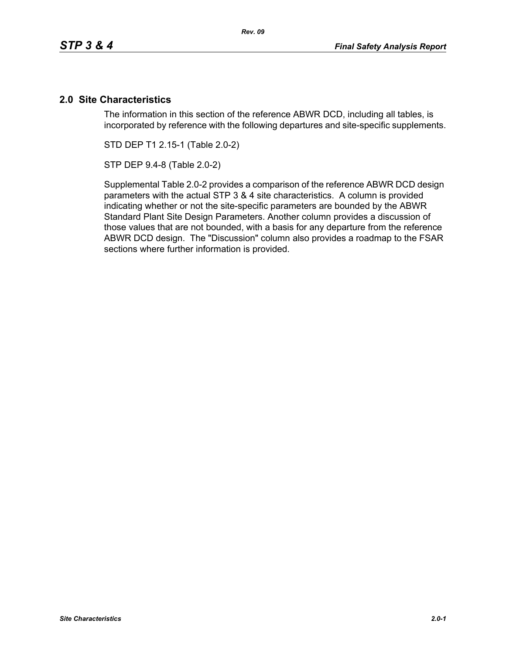# **2.0 Site Characteristics**

The information in this section of the reference ABWR DCD, including all tables, is incorporated by reference with the following departures and site-specific supplements.

STD DEP T1 2.15-1 (Table 2.0-2)

STP DEP 9.4-8 (Table 2.0-2)

Supplemental Table 2.0-2 provides a comparison of the reference ABWR DCD design parameters with the actual STP 3 & 4 site characteristics. A column is provided indicating whether or not the site-specific parameters are bounded by the ABWR Standard Plant Site Design Parameters. Another column provides a discussion of those values that are not bounded, with a basis for any departure from the reference ABWR DCD design. The "Discussion" column also provides a roadmap to the FSAR sections where further information is provided.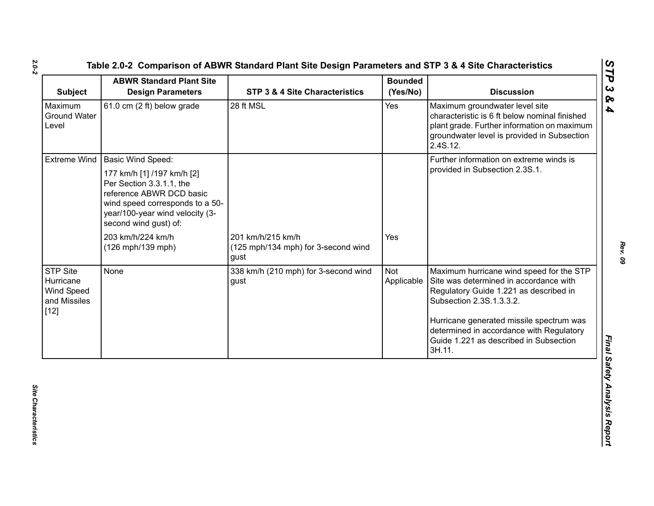| <b>Subject</b>                                                     | <b>ABWR Standard Plant Site</b><br><b>Design Parameters</b>                                                                                                                       | STP 3 & 4 Site Characteristics                                   | <b>Bounded</b><br>(Yes/No) | <b>Discussion</b>                                                                                                                                                                         |
|--------------------------------------------------------------------|-----------------------------------------------------------------------------------------------------------------------------------------------------------------------------------|------------------------------------------------------------------|----------------------------|-------------------------------------------------------------------------------------------------------------------------------------------------------------------------------------------|
| Maximum<br><b>Ground Water</b><br>Level                            | 61.0 cm $(2 ft)$ below grade                                                                                                                                                      | 28 ft MSL                                                        | Yes                        | Maximum groundwater level site<br>characteristic is 6 ft below nominal finished<br>plant grade. Further information on maximum<br>groundwater level is provided in Subsection<br>2.4S.12. |
|                                                                    | Extreme Wind   Basic Wind Speed:                                                                                                                                                  |                                                                  |                            | Further information on extreme winds is                                                                                                                                                   |
|                                                                    | 177 km/h [1] /197 km/h [2]<br>Per Section 3.3.1.1, the<br>reference ABWR DCD basic<br>wind speed corresponds to a 50-<br>year/100-year wind velocity (3-<br>second wind gust) of: |                                                                  |                            | provided in Subsection 2.3S.1.                                                                                                                                                            |
|                                                                    | 203 km/h/224 km/h<br>(126 mph/139 mph)                                                                                                                                            | 201 km/h/215 km/h<br>(125 mph/134 mph) for 3-second wind<br>gust | Yes                        |                                                                                                                                                                                           |
| <b>STP Site</b><br>Hurricane<br>Wind Speed<br>and Missiles<br>[12] | None                                                                                                                                                                              | 338 km/h (210 mph) for 3-second wind<br>gust                     | <b>Not</b><br>Applicable   | Maximum hurricane wind speed for the STP<br>Site was determined in accordance with<br>Regulatory Guide 1.221 as described in<br>Subsection 2.3S.1.3.3.2.                                  |
|                                                                    |                                                                                                                                                                                   |                                                                  |                            | Hurricane generated missile spectrum was<br>determined in accordance with Regulatory<br>Guide 1.221 as described in Subsection<br>3H.11.                                                  |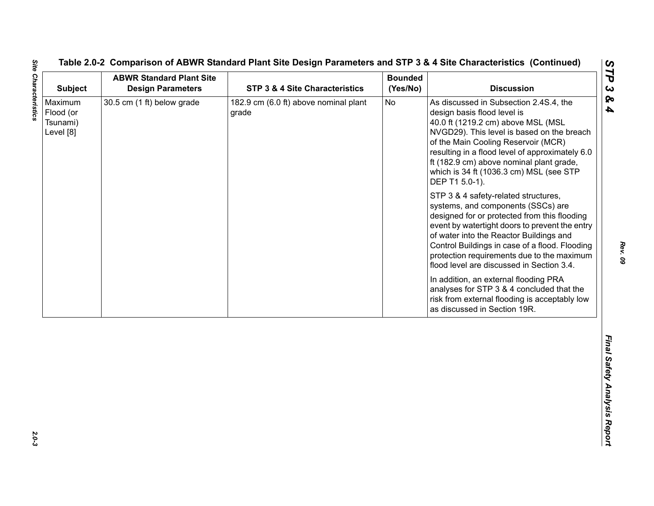| <b>Subject</b>                                | <b>ABWR Standard Plant Site</b><br><b>Design Parameters</b> | STP 3 & 4 Site Characteristics                 | <b>Bounded</b><br>(Yes/No) | <b>Discussion</b>                                                                                                                                                                                                                                                                                                                                                                                                                                                                                                                                                                                                                                                                                                                                                                                                                                                                                           |
|-----------------------------------------------|-------------------------------------------------------------|------------------------------------------------|----------------------------|-------------------------------------------------------------------------------------------------------------------------------------------------------------------------------------------------------------------------------------------------------------------------------------------------------------------------------------------------------------------------------------------------------------------------------------------------------------------------------------------------------------------------------------------------------------------------------------------------------------------------------------------------------------------------------------------------------------------------------------------------------------------------------------------------------------------------------------------------------------------------------------------------------------|
| Maximum<br>Flood (or<br>Tsunami)<br>Level [8] | 30.5 cm (1 ft) below grade                                  | 182.9 cm (6.0 ft) above nominal plant<br>grade | No                         | As discussed in Subsection 2.4S.4, the<br>design basis flood level is<br>40.0 ft (1219.2 cm) above MSL (MSL<br>NVGD29). This level is based on the breach<br>of the Main Cooling Reservoir (MCR)<br>resulting in a flood level of approximately 6.0<br>ft (182.9 cm) above nominal plant grade,<br>which is 34 ft (1036.3 cm) MSL (see STP<br>DEP T1 5.0-1).<br>STP 3 & 4 safety-related structures,<br>systems, and components (SSCs) are<br>designed for or protected from this flooding<br>event by watertight doors to prevent the entry<br>of water into the Reactor Buildings and<br>Control Buildings in case of a flood. Flooding<br>protection requirements due to the maximum<br>flood level are discussed in Section 3.4.<br>In addition, an external flooding PRA<br>analyses for STP 3 & 4 concluded that the<br>risk from external flooding is acceptably low<br>as discussed in Section 19R. |
|                                               |                                                             |                                                |                            |                                                                                                                                                                                                                                                                                                                                                                                                                                                                                                                                                                                                                                                                                                                                                                                                                                                                                                             |

**Site Characteristics**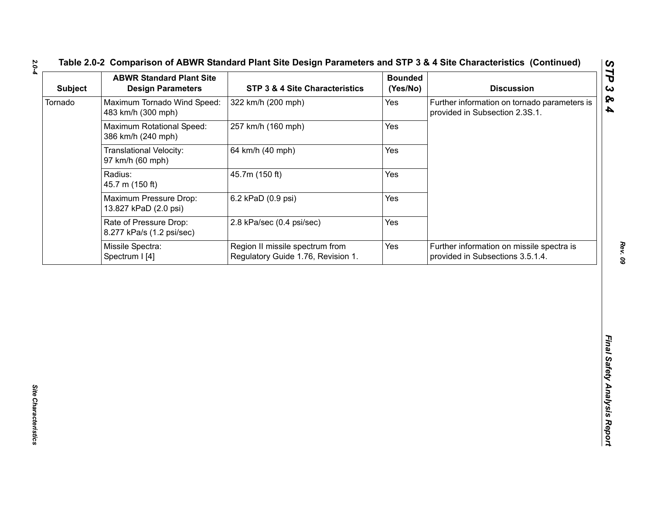| <b>Subject</b> | <b>ABWR Standard Plant Site</b><br><b>Design Parameters</b> | <b>STP 3 &amp; 4 Site Characteristics</b>                             | <b>Bounded</b><br>(Yes/No) | <b>Discussion</b>                                                              |
|----------------|-------------------------------------------------------------|-----------------------------------------------------------------------|----------------------------|--------------------------------------------------------------------------------|
| Tornado        | Maximum Tornado Wind Speed:<br>483 km/h (300 mph)           | 322 km/h (200 mph)                                                    | Yes                        | Further information on tornado parameters is<br>provided in Subsection 2.3S.1. |
|                | Maximum Rotational Speed:<br>386 km/h (240 mph)             | 257 km/h (160 mph)                                                    | Yes                        |                                                                                |
|                | Translational Velocity:<br>97 km/h (60 mph)                 | 64 km/h (40 mph)                                                      | Yes                        |                                                                                |
|                | Radius:<br>45.7 m (150 ft)                                  | 45.7m (150 ft)                                                        | Yes                        |                                                                                |
|                | Maximum Pressure Drop:<br>13.827 kPaD (2.0 psi)             | 6.2 kPaD (0.9 psi)                                                    | Yes                        |                                                                                |
|                | Rate of Pressure Drop:<br>8.277 kPa/s (1.2 psi/sec)         | 2.8 kPa/sec (0.4 psi/sec)                                             | Yes                        |                                                                                |
|                | Missile Spectra:<br>Spectrum I [4]                          | Region II missile spectrum from<br>Regulatory Guide 1.76, Revision 1. | Yes                        | Further information on missile spectra is<br>provided in Subsections 3.5.1.4.  |
|                |                                                             |                                                                       |                            |                                                                                |
|                |                                                             |                                                                       |                            |                                                                                |

*Rev. 09*

*2.0-4*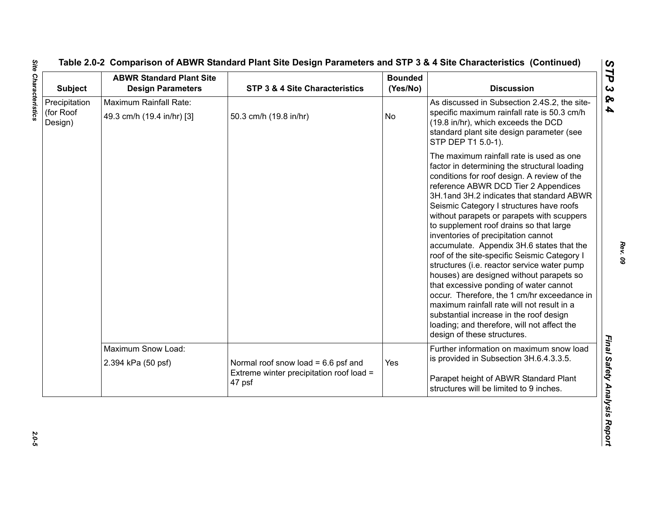| <b>Subject</b>                        | <b>ABWR Standard Plant Site</b><br><b>Design Parameters</b> | <b>STP 3 &amp; 4 Site Characteristics</b>                                                   | <b>Bounded</b><br>(Yes/No) | <b>Discussion</b>                                                                                                                                                                                                                                                                                                                                                                                                                                                                                                                                                                                                                                                                                                                                                                                                                                                |
|---------------------------------------|-------------------------------------------------------------|---------------------------------------------------------------------------------------------|----------------------------|------------------------------------------------------------------------------------------------------------------------------------------------------------------------------------------------------------------------------------------------------------------------------------------------------------------------------------------------------------------------------------------------------------------------------------------------------------------------------------------------------------------------------------------------------------------------------------------------------------------------------------------------------------------------------------------------------------------------------------------------------------------------------------------------------------------------------------------------------------------|
| Precipitation<br>(for Roof<br>Design) | <b>Maximum Rainfall Rate:</b><br>49.3 cm/h (19.4 in/hr) [3] | 50.3 cm/h (19.8 in/hr)                                                                      | <b>No</b>                  | As discussed in Subsection 2.4S.2, the site-<br>specific maximum rainfall rate is 50.3 cm/h<br>(19.8 in/hr), which exceeds the DCD<br>standard plant site design parameter (see<br>STP DEP T1 5.0-1).                                                                                                                                                                                                                                                                                                                                                                                                                                                                                                                                                                                                                                                            |
|                                       |                                                             |                                                                                             |                            | The maximum rainfall rate is used as one<br>factor in determining the structural loading<br>conditions for roof design. A review of the<br>reference ABWR DCD Tier 2 Appendices<br>3H.1and 3H.2 indicates that standard ABWR<br>Seismic Category I structures have roofs<br>without parapets or parapets with scuppers<br>to supplement roof drains so that large<br>inventories of precipitation cannot<br>accumulate. Appendix 3H.6 states that the<br>roof of the site-specific Seismic Category I<br>structures (i.e. reactor service water pump<br>houses) are designed without parapets so<br>that excessive ponding of water cannot<br>occur. Therefore, the 1 cm/hr exceedance in<br>maximum rainfall rate will not result in a<br>substantial increase in the roof design<br>loading; and therefore, will not affect the<br>design of these structures. |
|                                       | Maximum Snow Load:                                          |                                                                                             |                            | Further information on maximum snow load                                                                                                                                                                                                                                                                                                                                                                                                                                                                                                                                                                                                                                                                                                                                                                                                                         |
|                                       | 2.394 kPa (50 psf)                                          | Normal roof snow load = $6.6$ psf and<br>Extreme winter precipitation roof load =<br>47 psf | Yes                        | is provided in Subsection 3H.6.4.3.3.5.<br>Parapet height of ABWR Standard Plant<br>structures will be limited to 9 inches.                                                                                                                                                                                                                                                                                                                                                                                                                                                                                                                                                                                                                                                                                                                                      |

 $2.0 - 5$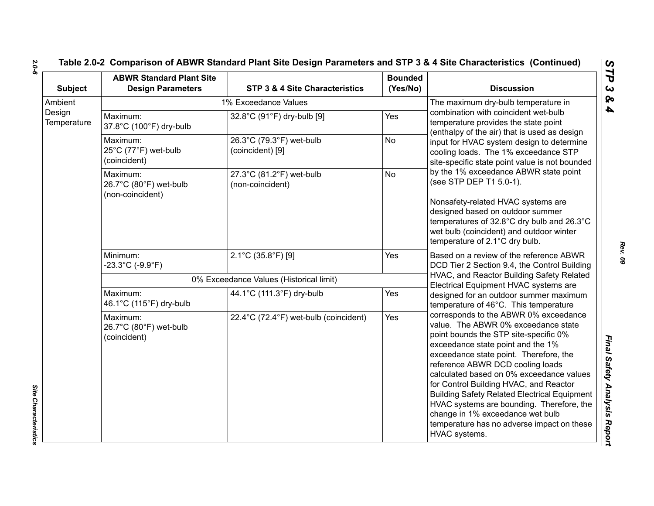| <b>Subject</b>        | <b>ABWR Standard Plant Site</b><br><b>Design Parameters</b> | STP 3 & 4 Site Characteristics               | <b>Bounded</b><br>(Yes/No) | <b>Discussion</b>                                                                                                                                                                                                                                                                                                                                                                                                                                                                                                                     |
|-----------------------|-------------------------------------------------------------|----------------------------------------------|----------------------------|---------------------------------------------------------------------------------------------------------------------------------------------------------------------------------------------------------------------------------------------------------------------------------------------------------------------------------------------------------------------------------------------------------------------------------------------------------------------------------------------------------------------------------------|
| Ambient               |                                                             | 1% Exceedance Values                         |                            | The maximum dry-bulb temperature in                                                                                                                                                                                                                                                                                                                                                                                                                                                                                                   |
| Design<br>Temperature | Maximum:<br>37.8°C (100°F) dry-bulb                         | 32.8°C (91°F) dry-bulb [9]                   | Yes                        | combination with coincident wet-bulb<br>temperature provides the state point<br>(enthalpy of the air) that is used as design                                                                                                                                                                                                                                                                                                                                                                                                          |
|                       | Maximum:<br>25°C (77°F) wet-bulb<br>(coincident)            | 26.3°C (79.3°F) wet-bulb<br>(coincident) [9] | <b>No</b>                  | input for HVAC system design to determine<br>cooling loads. The 1% exceedance STP<br>site-specific state point value is not bounded                                                                                                                                                                                                                                                                                                                                                                                                   |
|                       | Maximum:<br>26.7°C (80°F) wet-bulb                          | 27.3°C (81.2°F) wet-bulb<br>(non-coincident) | <b>No</b>                  | by the 1% exceedance ABWR state point<br>(see STP DEP T1 5.0-1).                                                                                                                                                                                                                                                                                                                                                                                                                                                                      |
|                       | (non-coincident)                                            |                                              |                            | Nonsafety-related HVAC systems are<br>designed based on outdoor summer<br>temperatures of 32.8°C dry bulb and 26.3°C<br>wet bulb (coincident) and outdoor winter<br>temperature of 2.1°C dry bulb.                                                                                                                                                                                                                                                                                                                                    |
|                       | Minimum:<br>$-23.3^{\circ}$ C (-9.9 $^{\circ}$ F)           | 2.1°C (35.8°F) [9]                           | Yes                        | Based on a review of the reference ABWR<br>DCD Tier 2 Section 9.4, the Control Building<br>HVAC, and Reactor Building Safety Related<br>Electrical Equipment HVAC systems are                                                                                                                                                                                                                                                                                                                                                         |
|                       |                                                             | 0% Exceedance Values (Historical limit)      |                            |                                                                                                                                                                                                                                                                                                                                                                                                                                                                                                                                       |
|                       | Maximum:<br>46.1°C (115°F) dry-bulb                         | 44.1°C (111.3°F) dry-bulb                    | Yes                        | designed for an outdoor summer maximum<br>temperature of 46°C. This temperature                                                                                                                                                                                                                                                                                                                                                                                                                                                       |
|                       | Maximum:<br>26.7°C (80°F) wet-bulb<br>(coincident)          | 22.4°C (72.4°F) wet-bulb (coincident)        | Yes                        | corresponds to the ABWR 0% exceedance<br>value. The ABWR 0% exceedance state<br>point bounds the STP site-specific 0%<br>exceedance state point and the 1%<br>exceedance state point. Therefore, the<br>reference ABWR DCD cooling loads<br>calculated based on 0% exceedance values<br>for Control Building HVAC, and Reactor<br><b>Building Safety Related Electrical Equipment</b><br>HVAC systems are bounding. Therefore, the<br>change in 1% exceedance wet bulb<br>temperature has no adverse impact on these<br>HVAC systems. |

*2.0-6*

*Site Characteristics* 

Site Characteristics

*Rev. 09*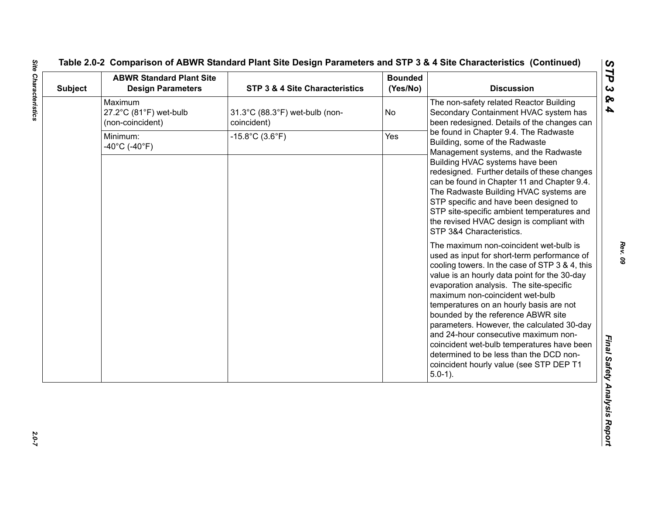| <b>Subject</b> | <b>ABWR Standard Plant Site</b><br><b>Design Parameters</b> | <b>STP 3 &amp; 4 Site Characteristics</b>     | <b>Bounded</b><br>(Yes/No) | <b>Discussion</b>                                                                                                                                                                                                                                                                                                                                                                                                                                                                                                                                                                                                                                                                                                                                                                                                                                                                                                                                                                                                                                              |
|----------------|-------------------------------------------------------------|-----------------------------------------------|----------------------------|----------------------------------------------------------------------------------------------------------------------------------------------------------------------------------------------------------------------------------------------------------------------------------------------------------------------------------------------------------------------------------------------------------------------------------------------------------------------------------------------------------------------------------------------------------------------------------------------------------------------------------------------------------------------------------------------------------------------------------------------------------------------------------------------------------------------------------------------------------------------------------------------------------------------------------------------------------------------------------------------------------------------------------------------------------------|
|                | Maximum<br>27.2°C (81°F) wet-bulb<br>(non-coincident)       | 31.3°C (88.3°F) wet-bulb (non-<br>coincident) | No                         | The non-safety related Reactor Building<br>Secondary Containment HVAC system has<br>been redesigned. Details of the changes can                                                                                                                                                                                                                                                                                                                                                                                                                                                                                                                                                                                                                                                                                                                                                                                                                                                                                                                                |
|                | Minimum:<br>$-40^{\circ}$ C (-40 $^{\circ}$ F)              | $-15.8^{\circ}$ C (3.6 $^{\circ}$ F)          | Yes                        | be found in Chapter 9.4. The Radwaste<br>Building, some of the Radwaste<br>Management systems, and the Radwaste<br>Building HVAC systems have been<br>redesigned. Further details of these changes<br>can be found in Chapter 11 and Chapter 9.4.<br>The Radwaste Building HVAC systems are<br>STP specific and have been designed to<br>STP site-specific ambient temperatures and<br>the revised HVAC design is compliant with<br>STP 3&4 Characteristics.<br>The maximum non-coincident wet-bulb is<br>used as input for short-term performance of<br>cooling towers. In the case of STP 3 & 4, this<br>value is an hourly data point for the 30-day<br>evaporation analysis. The site-specific<br>maximum non-coincident wet-bulb<br>temperatures on an hourly basis are not<br>bounded by the reference ABWR site<br>parameters. However, the calculated 30-day<br>and 24-hour consecutive maximum non-<br>coincident wet-bulb temperatures have been<br>determined to be less than the DCD non-<br>coincident hourly value (see STP DEP T1<br>$5.0-1$ ). |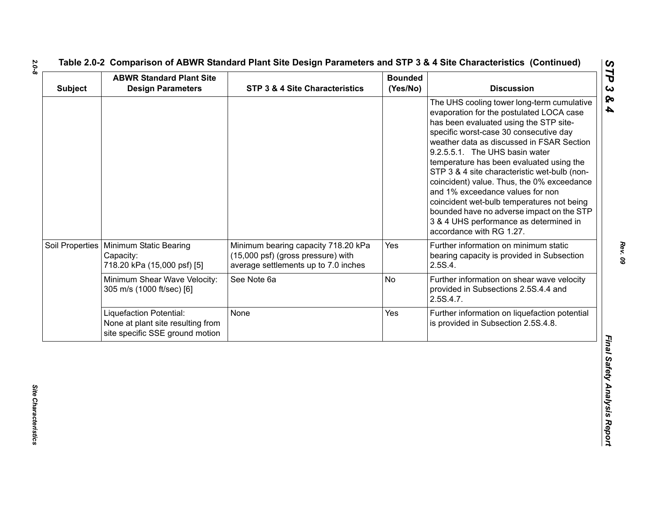| <b>Subject</b> | <b>ABWR Standard Plant Site</b><br><b>Design Parameters</b>                                     | STP 3 & 4 Site Characteristics                                                                                    | <b>Bounded</b><br>(Yes/No) | <b>Discussion</b>                                                                                                                                                                                                                                                                                                                                                                                                                                                                                                                                                                                        |
|----------------|-------------------------------------------------------------------------------------------------|-------------------------------------------------------------------------------------------------------------------|----------------------------|----------------------------------------------------------------------------------------------------------------------------------------------------------------------------------------------------------------------------------------------------------------------------------------------------------------------------------------------------------------------------------------------------------------------------------------------------------------------------------------------------------------------------------------------------------------------------------------------------------|
|                |                                                                                                 |                                                                                                                   |                            | The UHS cooling tower long-term cumulative<br>evaporation for the postulated LOCA case<br>has been evaluated using the STP site-<br>specific worst-case 30 consecutive day<br>weather data as discussed in FSAR Section<br>9.2.5.5.1. The UHS basin water<br>temperature has been evaluated using the<br>STP 3 & 4 site characteristic wet-bulb (non-<br>coincident) value. Thus, the 0% exceedance<br>and 1% exceedance values for non<br>coincident wet-bulb temperatures not being<br>bounded have no adverse impact on the STP<br>3 & 4 UHS performance as determined in<br>accordance with RG 1.27. |
|                | Soil Properties   Minimum Static Bearing<br>Capacity:<br>718.20 kPa (15,000 psf) [5]            | Minimum bearing capacity 718.20 kPa<br>(15,000 psf) (gross pressure) with<br>average settlements up to 7.0 inches | Yes                        | Further information on minimum static<br>bearing capacity is provided in Subsection<br>2.5S.4.                                                                                                                                                                                                                                                                                                                                                                                                                                                                                                           |
|                | Minimum Shear Wave Velocity:<br>305 m/s (1000 ft/sec) [6]                                       | See Note 6a                                                                                                       | No                         | Further information on shear wave velocity<br>provided in Subsections 2.5S.4.4 and<br>2.5S.4.7.                                                                                                                                                                                                                                                                                                                                                                                                                                                                                                          |
|                | Liquefaction Potential:<br>None at plant site resulting from<br>site specific SSE ground motion | None                                                                                                              | Yes                        | Further information on liquefaction potential<br>is provided in Subsection 2.5S.4.8.                                                                                                                                                                                                                                                                                                                                                                                                                                                                                                                     |

*2.0-8*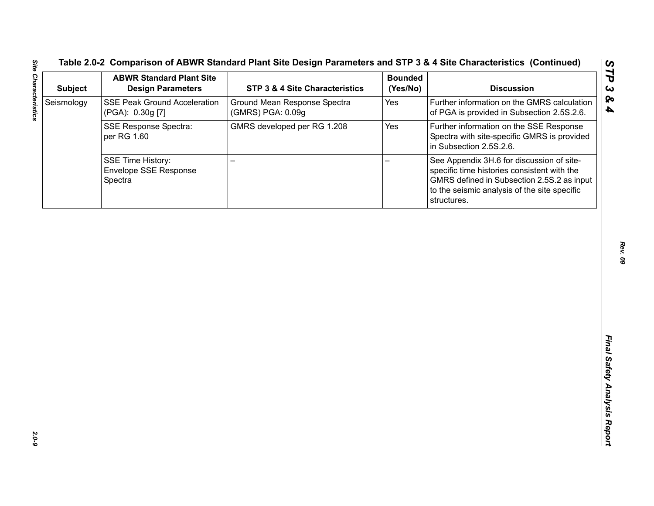| <b>Subject</b> | <b>ABWR Standard Plant Site</b><br><b>Design Parameters</b>  | STP 3 & 4 Site Characteristics                    | <b>Bounded</b><br>(Yes/No) | <b>Discussion</b>                                                                                                                                                                                     |
|----------------|--------------------------------------------------------------|---------------------------------------------------|----------------------------|-------------------------------------------------------------------------------------------------------------------------------------------------------------------------------------------------------|
| Seismology     | <b>SSE Peak Ground Acceleration</b><br>(PGA): 0.30g [7]      | Ground Mean Response Spectra<br>(GMRS) PGA: 0.09g | Yes                        | Further information on the GMRS calculation<br>of PGA is provided in Subsection 2.5S.2.6.                                                                                                             |
|                | <b>SSE Response Spectra:</b><br>per RG 1.60                  | GMRS developed per RG 1.208                       | Yes                        | Further information on the SSE Response<br>Spectra with site-specific GMRS is provided<br>in Subsection 2.5S.2.6.                                                                                     |
|                | <b>SSE Time History:</b><br>Envelope SSE Response<br>Spectra | ▃                                                 |                            | See Appendix 3H.6 for discussion of site-<br>specific time histories consistent with the<br>GMRS defined in Subsection 2.5S.2 as input<br>to the seismic analysis of the site specific<br>structures. |
|                |                                                              |                                                   |                            |                                                                                                                                                                                                       |
|                |                                                              |                                                   |                            |                                                                                                                                                                                                       |
|                |                                                              |                                                   |                            |                                                                                                                                                                                                       |
|                |                                                              |                                                   |                            |                                                                                                                                                                                                       |
|                |                                                              |                                                   |                            |                                                                                                                                                                                                       |
|                |                                                              |                                                   |                            |                                                                                                                                                                                                       |
|                |                                                              |                                                   |                            |                                                                                                                                                                                                       |
|                |                                                              |                                                   |                            |                                                                                                                                                                                                       |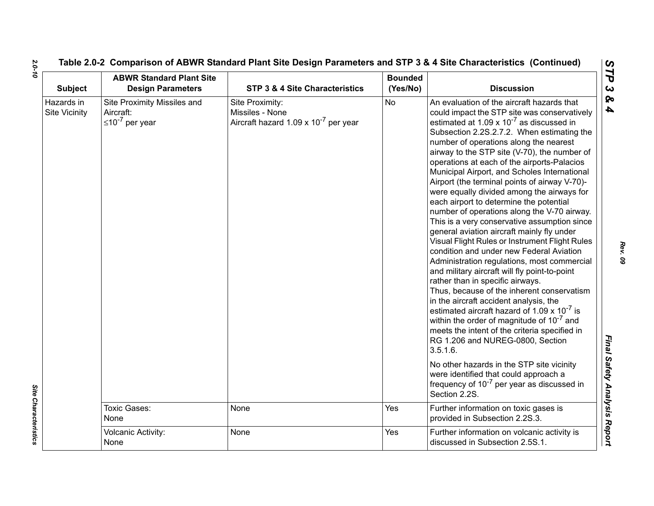| <b>Subject</b>                     | <b>ABWR Standard Plant Site</b><br><b>Design Parameters</b>         | STP 3 & 4 Site Characteristics                                                         | <b>Bounded</b><br>(Yes/No) | <b>Discussion</b>                                                                                                                                                                                                                                                                                                                                                                                                                                                                                                                                                                                                                                                                                                                                                                                                                                                                                                                                                                                                                                                                                                                                                                                                                                                                                                                                                                     |
|------------------------------------|---------------------------------------------------------------------|----------------------------------------------------------------------------------------|----------------------------|---------------------------------------------------------------------------------------------------------------------------------------------------------------------------------------------------------------------------------------------------------------------------------------------------------------------------------------------------------------------------------------------------------------------------------------------------------------------------------------------------------------------------------------------------------------------------------------------------------------------------------------------------------------------------------------------------------------------------------------------------------------------------------------------------------------------------------------------------------------------------------------------------------------------------------------------------------------------------------------------------------------------------------------------------------------------------------------------------------------------------------------------------------------------------------------------------------------------------------------------------------------------------------------------------------------------------------------------------------------------------------------|
| Hazards in<br><b>Site Vicinity</b> | Site Proximity Missiles and<br>Aircraft:<br>$\leq 10^{-7}$ per year | Site Proximity:<br>Missiles - None<br>Aircraft hazard 1.09 x 10 <sup>-7</sup> per year | <b>No</b>                  | An evaluation of the aircraft hazards that<br>could impact the STP site was conservatively<br>estimated at 1.09 x $10^{-7}$ as discussed in<br>Subsection 2.2S.2.7.2. When estimating the<br>number of operations along the nearest<br>airway to the STP site (V-70), the number of<br>operations at each of the airports-Palacios<br>Municipal Airport, and Scholes International<br>Airport (the terminal points of airway V-70)-<br>were equally divided among the airways for<br>each airport to determine the potential<br>number of operations along the V-70 airway.<br>This is a very conservative assumption since<br>general aviation aircraft mainly fly under<br>Visual Flight Rules or Instrument Flight Rules<br>condition and under new Federal Aviation<br>Administration regulations, most commercial<br>and military aircraft will fly point-to-point<br>rather than in specific airways.<br>Thus, because of the inherent conservatism<br>in the aircraft accident analysis, the<br>estimated aircraft hazard of 1.09 x $10^{-7}$ is<br>within the order of magnitude of 10 <sup>-7</sup> and<br>meets the intent of the criteria specified in<br>RG 1.206 and NUREG-0800, Section<br>$3.5.1.6$ .<br>No other hazards in the STP site vicinity<br>were identified that could approach a<br>frequency of 10 <sup>-7</sup> per year as discussed in<br>Section 2.2S. |
|                                    | <b>Toxic Gases:</b><br>None                                         | None                                                                                   | Yes                        | Further information on toxic gases is<br>provided in Subsection 2.2S.3.                                                                                                                                                                                                                                                                                                                                                                                                                                                                                                                                                                                                                                                                                                                                                                                                                                                                                                                                                                                                                                                                                                                                                                                                                                                                                                               |
|                                    | Volcanic Activity:<br>None                                          | None                                                                                   | Yes                        | Further information on volcanic activity is<br>discussed in Subsection 2.5S.1.                                                                                                                                                                                                                                                                                                                                                                                                                                                                                                                                                                                                                                                                                                                                                                                                                                                                                                                                                                                                                                                                                                                                                                                                                                                                                                        |

*2.0-10*

Site Characteristics *Site Characteristics*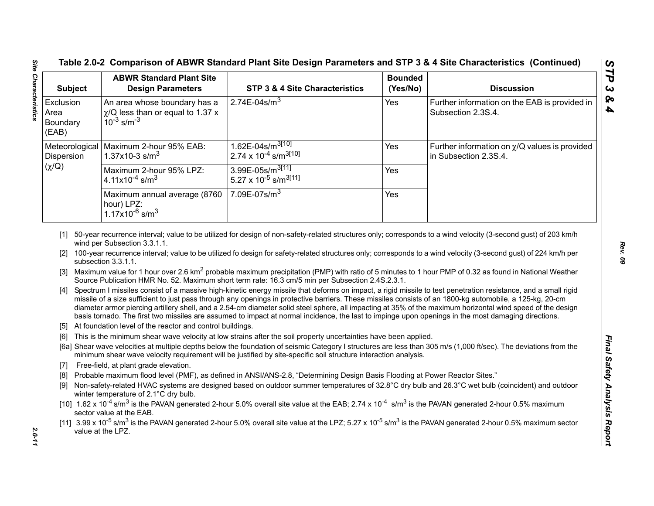| <b>Subject</b>                         | <b>ABWR Standard Plant Site</b><br><b>Design Parameters</b>                                             | STP 3 & 4 Site Characteristics                                                                                                                                                                                                                                                                                                                                                                                                                                                                                                         | <b>Bounded</b><br>(Yes/No) | <b>Discussion</b>                                                                                                                                                                                                                                                                                                                                                                                                                                                                                                                                                                                                                                                             |
|----------------------------------------|---------------------------------------------------------------------------------------------------------|----------------------------------------------------------------------------------------------------------------------------------------------------------------------------------------------------------------------------------------------------------------------------------------------------------------------------------------------------------------------------------------------------------------------------------------------------------------------------------------------------------------------------------------|----------------------------|-------------------------------------------------------------------------------------------------------------------------------------------------------------------------------------------------------------------------------------------------------------------------------------------------------------------------------------------------------------------------------------------------------------------------------------------------------------------------------------------------------------------------------------------------------------------------------------------------------------------------------------------------------------------------------|
| Exclusion<br>Area<br>Boundary<br>(EAB) | An area whose boundary has a<br>$\gamma$ /Q less than or equal to 1.37 x<br>$10^{-3}$ s/m <sup>-3</sup> | 2.74E-04s/m <sup>3</sup>                                                                                                                                                                                                                                                                                                                                                                                                                                                                                                               | Yes                        | Further information on the EAB is provided in<br>Subsection 2.3S.4.                                                                                                                                                                                                                                                                                                                                                                                                                                                                                                                                                                                                           |
| Dispersion                             | Meteorological   Maximum 2-hour 95% EAB:<br>1.37x10-3 s/m <sup>3</sup>                                  | $1.62E - 04s/m^{3[10]}$<br>2.74 x $10^{-4}$ s/m <sup>3[10]</sup>                                                                                                                                                                                                                                                                                                                                                                                                                                                                       | Yes                        | Further information on $\chi$ /Q values is provided<br>in Subsection 2.3S.4.                                                                                                                                                                                                                                                                                                                                                                                                                                                                                                                                                                                                  |
| $(\chi/Q)$                             | Maximum 2-hour 95% LPZ:<br>4.11x10 <sup>-4</sup> s/m <sup>3</sup>                                       | 3.99E-05s/m <sup>3[11]</sup><br>5.27 x 10 <sup>-5</sup> s/m <sup>3[11]</sup>                                                                                                                                                                                                                                                                                                                                                                                                                                                           | Yes                        |                                                                                                                                                                                                                                                                                                                                                                                                                                                                                                                                                                                                                                                                               |
|                                        | Maximum annual average (8760<br>hour) LPZ:<br>$1.17x10^{-6}$ s/m <sup>3</sup>                           | 7.09E-07s/ $\overline{m^3}$                                                                                                                                                                                                                                                                                                                                                                                                                                                                                                            | Yes                        |                                                                                                                                                                                                                                                                                                                                                                                                                                                                                                                                                                                                                                                                               |
|                                        | wind per Subsection 3.3.1.1.                                                                            |                                                                                                                                                                                                                                                                                                                                                                                                                                                                                                                                        |                            | [1] 50-year recurrence interval; value to be utilized for design of non-safety-related structures only; corresponds to a wind velocity (3-second gust) of 203 km/h                                                                                                                                                                                                                                                                                                                                                                                                                                                                                                            |
| [3]<br>$\lceil 5 \rceil$<br>[6]        | subsection 3.3.1.1.<br>At foundation level of the reactor and control buildings.                        | Source Publication HMR No. 52. Maximum short term rate: 16.3 cm/5 min per Subsection 2.4S.2.3.1.<br>missile of a size sufficient to just pass through any openings in protective barriers. These missiles consists of an 1800-kg automobile, a 125-kg, 20-cm<br>basis tornado. The first two missiles are assumed to impact at normal incidence, the last to impinge upon openings in the most damaging directions.<br>This is the minimum shear wave velocity at low strains after the soil property uncertainties have been applied. |                            | [2] 100-year recurrence interval; value to be utilized fo design for safety-related structures only; corresponds to a wind velocity (3-second gust) of 224 km/h per<br>Maximum value for 1 hour over 2.6 km <sup>2</sup> probable maximum precipitation (PMP) with ratio of 5 minutes to 1 hour PMP of 0.32 as found in National Weather<br>[4] Spectrum I missiles consist of a massive high-kinetic energy missile that deforms on impact, a rigid missile to test penetration resistance, and a small rigid<br>diameter armor piercing artillery shell, and a 2.54-cm diameter solid steel sphere, all impacting at 35% of the maximum horizontal wind speed of the design |
|                                        |                                                                                                         | minimum shear wave velocity requirement will be justified by site-specific soil structure interaction analysis.                                                                                                                                                                                                                                                                                                                                                                                                                        |                            | [6a] Shear wave velocities at multiple depths below the foundation of seismic Category I structures are less than 305 m/s (1,000 ft/sec). The deviations from the                                                                                                                                                                                                                                                                                                                                                                                                                                                                                                             |
| $[7]$                                  | Free-field, at plant grade elevation.                                                                   |                                                                                                                                                                                                                                                                                                                                                                                                                                                                                                                                        |                            |                                                                                                                                                                                                                                                                                                                                                                                                                                                                                                                                                                                                                                                                               |
| [8]<br>[9]                             | winter temperature of 2.1°C dry bulb.                                                                   | Probable maximum flood level (PMF), as defined in ANSI/ANS-2.8, "Determining Design Basis Flooding at Power Reactor Sites."                                                                                                                                                                                                                                                                                                                                                                                                            |                            | Non-safety-related HVAC systems are designed based on outdoor summer temperatures of 32.8°C dry bulb and 26.3°C wet bulb (coincident) and outdoor                                                                                                                                                                                                                                                                                                                                                                                                                                                                                                                             |
|                                        | sector value at the EAB.                                                                                | [10] $1.62 \times 10^{-4}$ s/m <sup>3</sup> is the PAVAN generated 2-hour 5.0% overall site value at the EAB; 2.74 x 10 <sup>-4</sup> s/m <sup>3</sup> is the PAVAN generated 2-hour 0.5% maximum                                                                                                                                                                                                                                                                                                                                      |                            | [11] $3.99 \times 10^{-5}$ s/m <sup>3</sup> is the PAVAN generated 2-hour 5.0% overall site value at the LPZ; 5.27 x 10 <sup>-5</sup> s/m <sup>3</sup> is the PAVAN generated 2-hour 0.5% maximum sector                                                                                                                                                                                                                                                                                                                                                                                                                                                                      |

- 
- 
- 
- 
- 
- 
- 
- 
- 
- 
- 
- 

*STP 3 & 4*